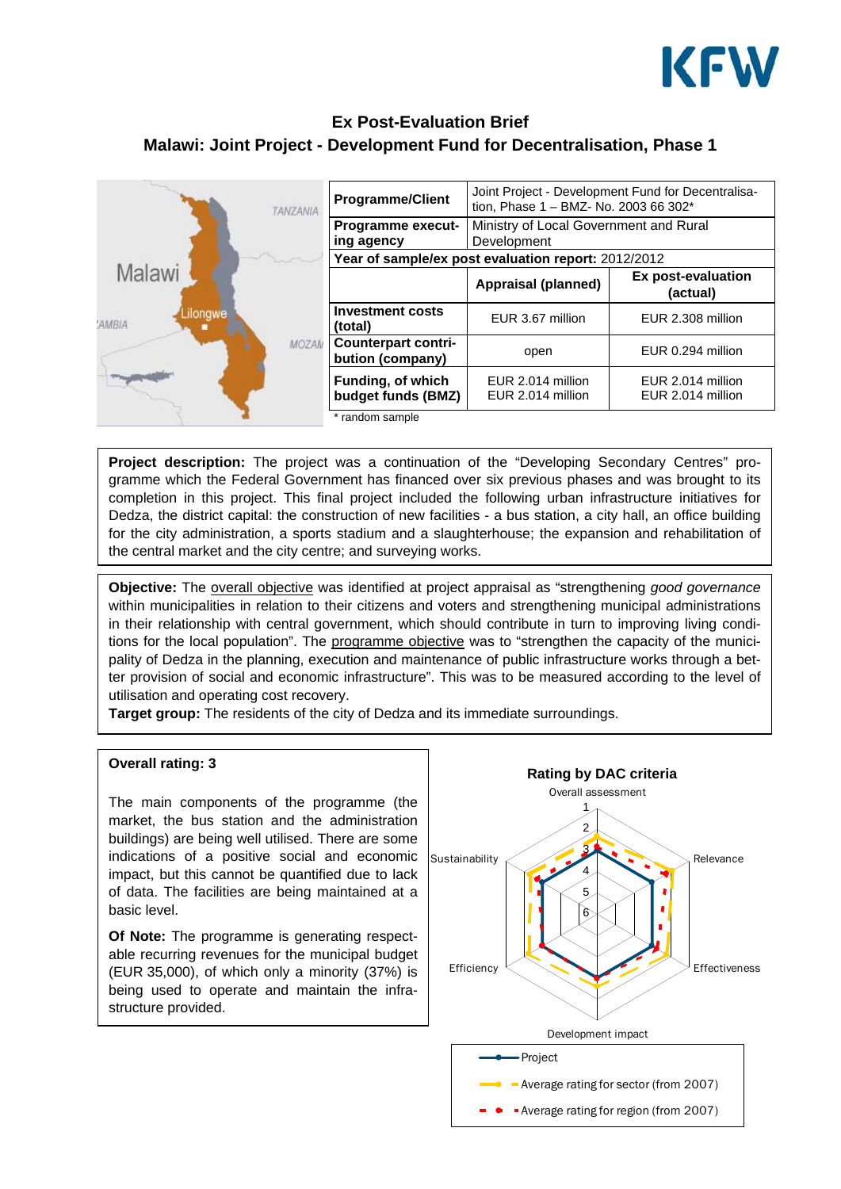

# **Ex Post-Evaluation Brief Malawi: Joint Project - Development Fund for Decentralisation, Phase 1**

| <b>TANZANIA</b>                      | <b>Programme/Client</b>                             | Joint Project - Development Fund for Decentralisa-<br>tion, Phase 1 - BMZ- No. 2003 66 302* |                                        |
|--------------------------------------|-----------------------------------------------------|---------------------------------------------------------------------------------------------|----------------------------------------|
|                                      | <b>Programme execut-</b>                            | Ministry of Local Government and Rural                                                      |                                        |
|                                      | ing agency                                          | Development                                                                                 |                                        |
| <b>The Manus</b>                     | Year of sample/ex post evaluation report: 2012/2012 |                                                                                             |                                        |
| Malawi<br>ilongwe<br>'AMBIA<br>MOZAN |                                                     | <b>Appraisal (planned)</b>                                                                  | Ex post-evaluation<br>(actual)         |
|                                      | <b>Investment costs</b><br>(total)                  | EUR 3.67 million                                                                            | EUR 2.308 million                      |
|                                      | <b>Counterpart contri-</b><br>bution (company)      | open                                                                                        | EUR 0.294 million                      |
|                                      | Funding, of which<br>budget funds (BMZ)             | EUR 2.014 million<br>EUR 2.014 million                                                      | EUR 2.014 million<br>EUR 2.014 million |
|                                      | random sample                                       |                                                                                             |                                        |

**Project description:** The project was a continuation of the "Developing Secondary Centres" programme which the Federal Government has financed over six previous phases and was brought to its completion in this project. This final project included the following urban infrastructure initiatives for Dedza, the district capital: the construction of new facilities - a bus station, a city hall, an office building for the city administration, a sports stadium and a slaughterhouse; the expansion and rehabilitation of the central market and the city centre; and surveying works.

**Objective:** The overall objective was identified at project appraisal as "strengthening *good governance* within municipalities in relation to their citizens and voters and strengthening municipal administrations in their relationship with central government, which should contribute in turn to improving living conditions for the local population". The programme objective was to "strengthen the capacity of the municipality of Dedza in the planning, execution and maintenance of public infrastructure works through a better provision of social and economic infrastructure". This was to be measured according to the level of utilisation and operating cost recovery.

**Target group:** The residents of the city of Dedza and its immediate surroundings.



#### **Overall rating: 3**

The main components of the programme (the market, the bus station and the administration buildings) are being well utilised. There are some indications of a positive social and economic impact, but this cannot be quantified due to lack of data. The facilities are being maintained at a basic level.

**Of Note:** The programme is generating respectable recurring revenues for the municipal budget (EUR 35,000), of which only a minority (37%) is being used to operate and maintain the infrastructure provided.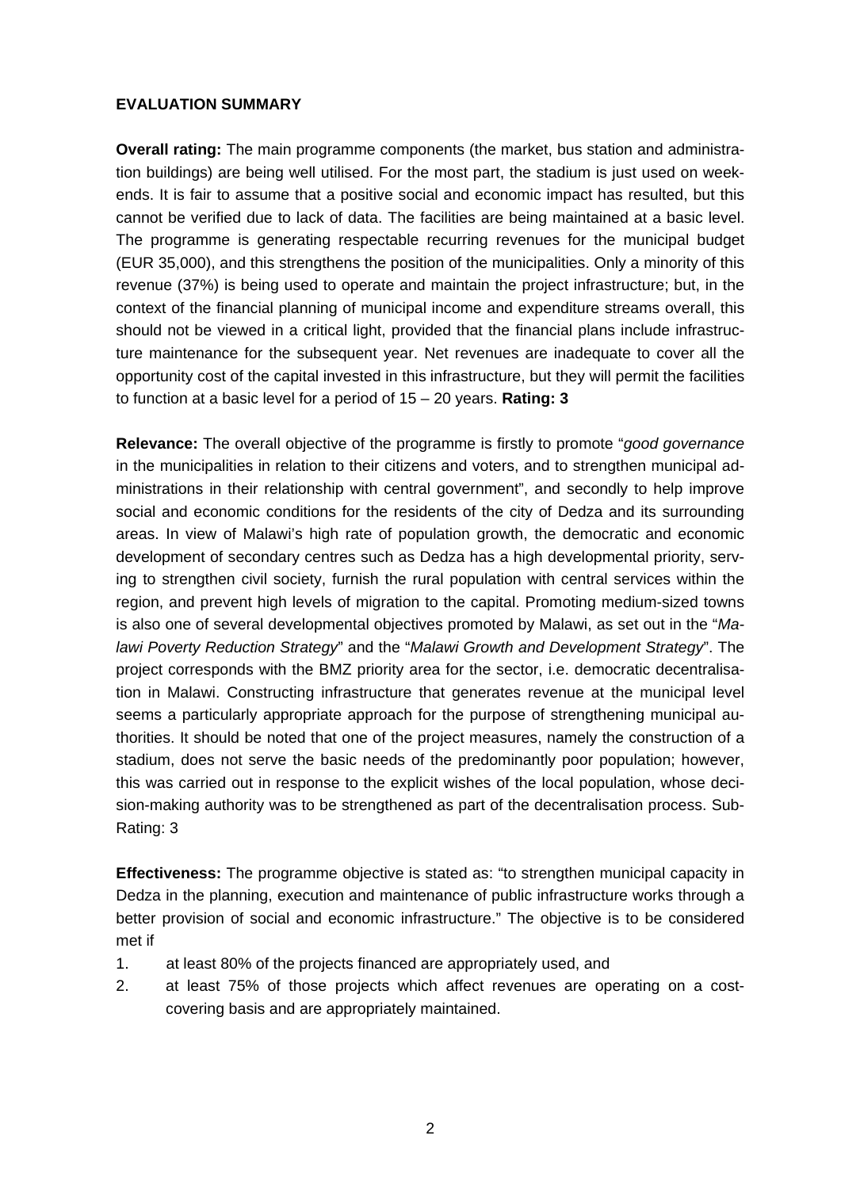### **EVALUATION SUMMARY**

**Overall rating:** The main programme components (the market, bus station and administration buildings) are being well utilised. For the most part, the stadium is just used on weekends. It is fair to assume that a positive social and economic impact has resulted, but this cannot be verified due to lack of data. The facilities are being maintained at a basic level. The programme is generating respectable recurring revenues for the municipal budget (EUR 35,000), and this strengthens the position of the municipalities. Only a minority of this revenue (37%) is being used to operate and maintain the project infrastructure; but, in the context of the financial planning of municipal income and expenditure streams overall, this should not be viewed in a critical light, provided that the financial plans include infrastructure maintenance for the subsequent year. Net revenues are inadequate to cover all the opportunity cost of the capital invested in this infrastructure, but they will permit the facilities to function at a basic level for a period of 15 – 20 years. **Rating: 3** 

**Relevance:** The overall objective of the programme is firstly to promote "*good governance* in the municipalities in relation to their citizens and voters, and to strengthen municipal administrations in their relationship with central government", and secondly to help improve social and economic conditions for the residents of the city of Dedza and its surrounding areas. In view of Malawi's high rate of population growth, the democratic and economic development of secondary centres such as Dedza has a high developmental priority, serving to strengthen civil society, furnish the rural population with central services within the region, and prevent high levels of migration to the capital. Promoting medium-sized towns is also one of several developmental objectives promoted by Malawi, as set out in the "*Malawi Poverty Reduction Strategy*" and the "*Malawi Growth and Development Strategy*". The project corresponds with the BMZ priority area for the sector, i.e. democratic decentralisation in Malawi. Constructing infrastructure that generates revenue at the municipal level seems a particularly appropriate approach for the purpose of strengthening municipal authorities. It should be noted that one of the project measures, namely the construction of a stadium, does not serve the basic needs of the predominantly poor population; however, this was carried out in response to the explicit wishes of the local population, whose decision-making authority was to be strengthened as part of the decentralisation process. Sub-Rating: 3

**Effectiveness:** The programme objective is stated as: "to strengthen municipal capacity in Dedza in the planning, execution and maintenance of public infrastructure works through a better provision of social and economic infrastructure." The objective is to be considered met if

- 1. at least 80% of the projects financed are appropriately used, and
- 2. at least 75% of those projects which affect revenues are operating on a costcovering basis and are appropriately maintained.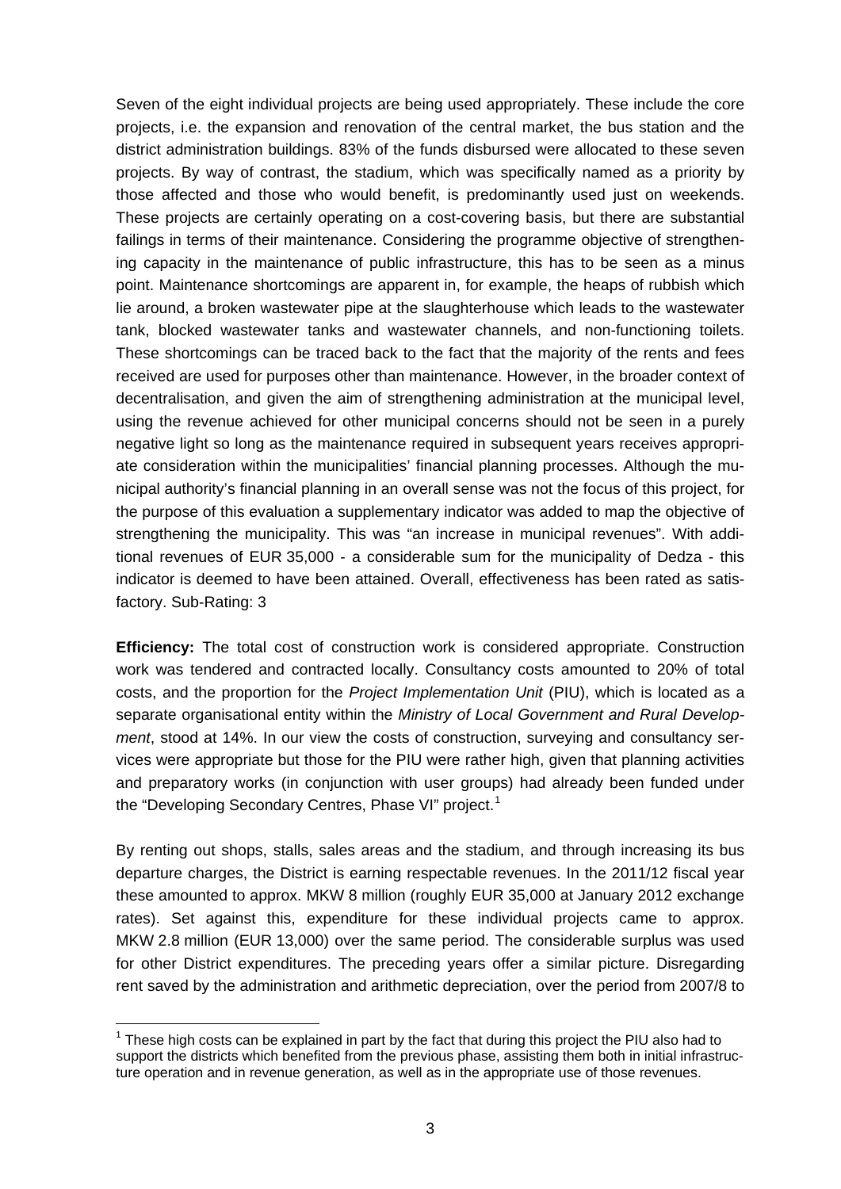Seven of the eight individual projects are being used appropriately. These include the core projects, i.e. the expansion and renovation of the central market, the bus station and the district administration buildings. 83% of the funds disbursed were allocated to these seven projects. By way of contrast, the stadium, which was specifically named as a priority by those affected and those who would benefit, is predominantly used just on weekends. These projects are certainly operating on a cost-covering basis, but there are substantial failings in terms of their maintenance. Considering the programme objective of strengthening capacity in the maintenance of public infrastructure, this has to be seen as a minus point. Maintenance shortcomings are apparent in, for example, the heaps of rubbish which lie around, a broken wastewater pipe at the slaughterhouse which leads to the wastewater tank, blocked wastewater tanks and wastewater channels, and non-functioning toilets. These shortcomings can be traced back to the fact that the majority of the rents and fees received are used for purposes other than maintenance. However, in the broader context of decentralisation, and given the aim of strengthening administration at the municipal level, using the revenue achieved for other municipal concerns should not be seen in a purely negative light so long as the maintenance required in subsequent years receives appropriate consideration within the municipalities' financial planning processes. Although the municipal authority's financial planning in an overall sense was not the focus of this project, for the purpose of this evaluation a supplementary indicator was added to map the objective of strengthening the municipality. This was "an increase in municipal revenues". With additional revenues of EUR 35,000 - a considerable sum for the municipality of Dedza - this indicator is deemed to have been attained. Overall, effectiveness has been rated as satisfactory. Sub-Rating: 3

**Efficiency:** The total cost of construction work is considered appropriate. Construction work was tendered and contracted locally. Consultancy costs amounted to 20% of total costs, and the proportion for the *Project Implementation Unit* (PIU), which is located as a separate organisational entity within the *Ministry of Local Government and Rural Development*, stood at 14%. In our view the costs of construction, surveying and consultancy services were appropriate but those for the PIU were rather high, given that planning activities and preparatory works (in conjunction with user groups) had already been funded under the "Developing Secondary Centres, Phase VI" project.<sup>[1](#page-2-0)</sup>

By renting out shops, stalls, sales areas and the stadium, and through increasing its bus departure charges, the District is earning respectable revenues. In the 2011/12 fiscal year these amounted to approx. MKW 8 million (roughly EUR 35,000 at January 2012 exchange rates). Set against this, expenditure for these individual projects came to approx. MKW 2.8 million (EUR 13,000) over the same period. The considerable surplus was used for other District expenditures. The preceding years offer a similar picture. Disregarding rent saved by the administration and arithmetic depreciation, over the period from 2007/8 to

<span id="page-2-0"></span> $1$  These high costs can be explained in part by the fact that during this project the PIU also had to support the districts which benefited from the previous phase, assisting them both in initial infrastructure operation and in revenue generation, as well as in the appropriate use of those revenues.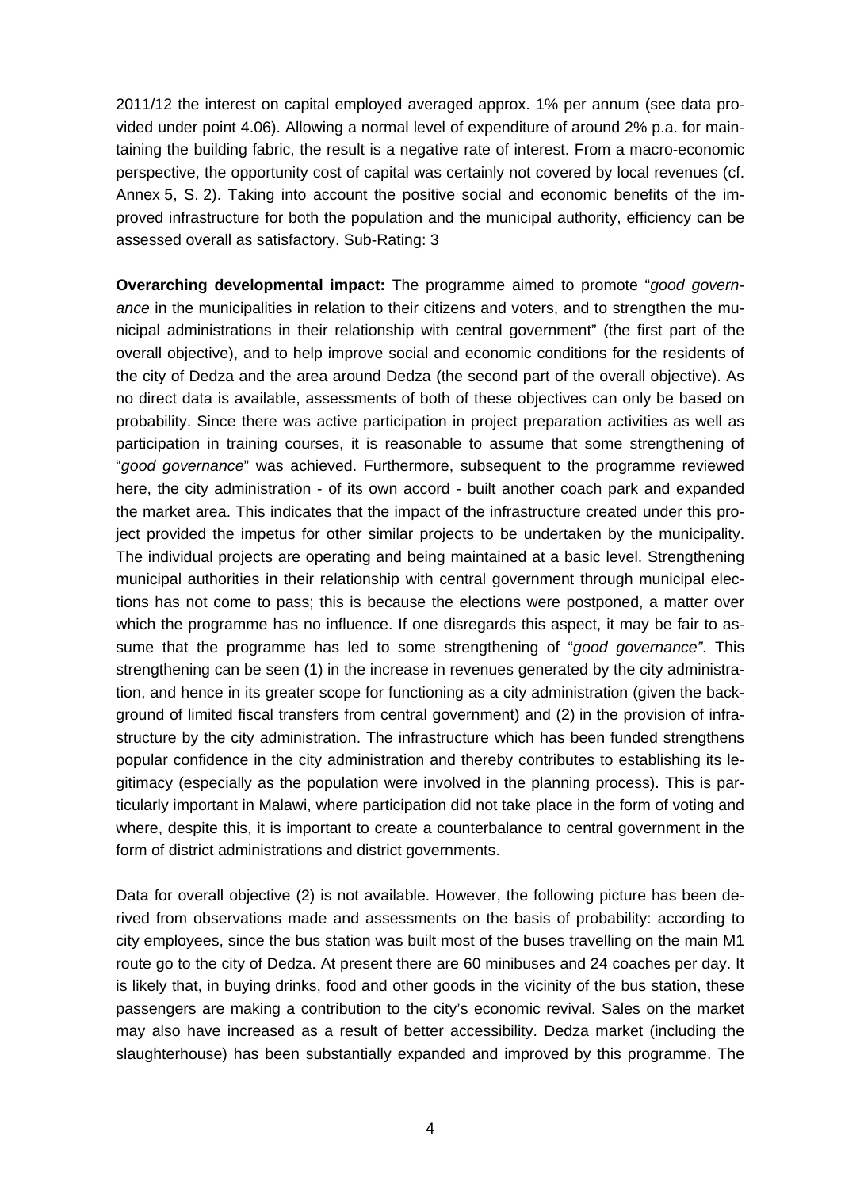2011/12 the interest on capital employed averaged approx. 1% per annum (see data provided under point 4.06). Allowing a normal level of expenditure of around 2% p.a. for maintaining the building fabric, the result is a negative rate of interest. From a macro-economic perspective, the opportunity cost of capital was certainly not covered by local revenues (cf. Annex 5, S. 2). Taking into account the positive social and economic benefits of the improved infrastructure for both the population and the municipal authority, efficiency can be assessed overall as satisfactory. Sub-Rating: 3

**Overarching developmental impact:** The programme aimed to promote "*good governance* in the municipalities in relation to their citizens and voters, and to strengthen the municipal administrations in their relationship with central government" (the first part of the overall objective), and to help improve social and economic conditions for the residents of the city of Dedza and the area around Dedza (the second part of the overall objective). As no direct data is available, assessments of both of these objectives can only be based on probability. Since there was active participation in project preparation activities as well as participation in training courses, it is reasonable to assume that some strengthening of "*good governance*" was achieved. Furthermore, subsequent to the programme reviewed here, the city administration - of its own accord - built another coach park and expanded the market area. This indicates that the impact of the infrastructure created under this project provided the impetus for other similar projects to be undertaken by the municipality. The individual projects are operating and being maintained at a basic level. Strengthening municipal authorities in their relationship with central government through municipal elections has not come to pass; this is because the elections were postponed, a matter over which the programme has no influence. If one disregards this aspect, it may be fair to assume that the programme has led to some strengthening of "*good governance"*. This strengthening can be seen (1) in the increase in revenues generated by the city administration, and hence in its greater scope for functioning as a city administration (given the background of limited fiscal transfers from central government) and (2) in the provision of infrastructure by the city administration. The infrastructure which has been funded strengthens popular confidence in the city administration and thereby contributes to establishing its legitimacy (especially as the population were involved in the planning process). This is particularly important in Malawi, where participation did not take place in the form of voting and where, despite this, it is important to create a counterbalance to central government in the form of district administrations and district governments.

Data for overall objective (2) is not available. However, the following picture has been derived from observations made and assessments on the basis of probability: according to city employees, since the bus station was built most of the buses travelling on the main M1 route go to the city of Dedza. At present there are 60 minibuses and 24 coaches per day. It is likely that, in buying drinks, food and other goods in the vicinity of the bus station, these passengers are making a contribution to the city's economic revival. Sales on the market may also have increased as a result of better accessibility. Dedza market (including the slaughterhouse) has been substantially expanded and improved by this programme. The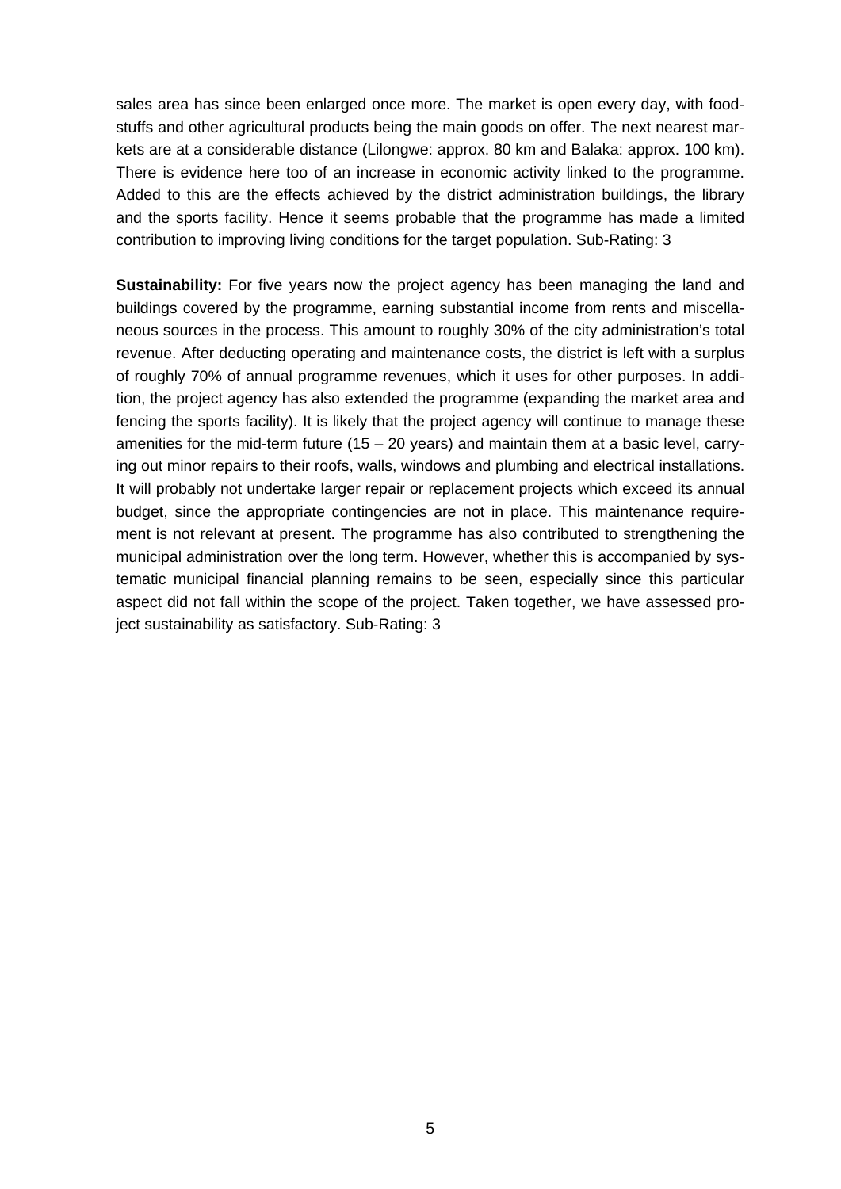sales area has since been enlarged once more. The market is open every day, with foodstuffs and other agricultural products being the main goods on offer. The next nearest markets are at a considerable distance (Lilongwe: approx. 80 km and Balaka: approx. 100 km). There is evidence here too of an increase in economic activity linked to the programme. Added to this are the effects achieved by the district administration buildings, the library and the sports facility. Hence it seems probable that the programme has made a limited contribution to improving living conditions for the target population. Sub-Rating: 3

**Sustainability:** For five years now the project agency has been managing the land and buildings covered by the programme, earning substantial income from rents and miscellaneous sources in the process. This amount to roughly 30% of the city administration's total revenue. After deducting operating and maintenance costs, the district is left with a surplus of roughly 70% of annual programme revenues, which it uses for other purposes. In addition, the project agency has also extended the programme (expanding the market area and fencing the sports facility). It is likely that the project agency will continue to manage these amenities for the mid-term future  $(15 - 20$  years) and maintain them at a basic level, carrying out minor repairs to their roofs, walls, windows and plumbing and electrical installations. It will probably not undertake larger repair or replacement projects which exceed its annual budget, since the appropriate contingencies are not in place. This maintenance requirement is not relevant at present. The programme has also contributed to strengthening the municipal administration over the long term. However, whether this is accompanied by systematic municipal financial planning remains to be seen, especially since this particular aspect did not fall within the scope of the project. Taken together, we have assessed project sustainability as satisfactory. Sub-Rating: 3